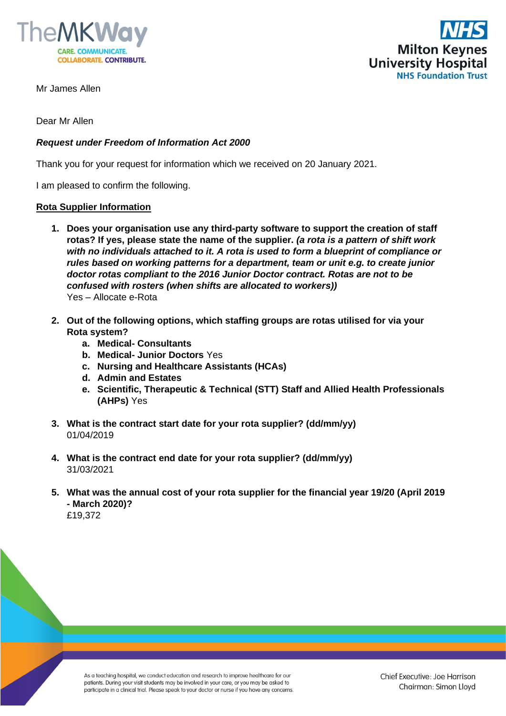



Mr James Allen

Dear Mr Allen

## *Request under Freedom of Information Act 2000*

Thank you for your request for information which we received on 20 January 2021.

I am pleased to confirm the following.

## **Rota Supplier Information**

- **1. Does your organisation use any third-party software to support the creation of staff rotas? If yes, please state the name of the supplier.** *(a rota is a pattern of shift work with no individuals attached to it. A rota is used to form a blueprint of compliance or rules based on working patterns for a department, team or unit e.g. to create junior doctor rotas compliant to the 2016 Junior Doctor contract. Rotas are not to be confused with rosters (when shifts are allocated to workers))* Yes – Allocate e-Rota
- **2. Out of the following options, which staffing groups are rotas utilised for via your Rota system?** 
	- **a. Medical- Consultants**
	- **b. Medical- Junior Doctors** Yes
	- **c. Nursing and Healthcare Assistants (HCAs)**
	- **d. Admin and Estates**
	- **e. Scientific, Therapeutic & Technical (STT) Staff and Allied Health Professionals (AHPs)** Yes
- **3. What is the contract start date for your rota supplier? (dd/mm/yy)** 01/04/2019
- **4. What is the contract end date for your rota supplier? (dd/mm/yy)** 31/03/2021
- **5. What was the annual cost of your rota supplier for the financial year 19/20 (April 2019 - March 2020)?**  £19,372

As a teaching hospital, we conduct education and research to improve healthcare for our patients. During your visit students may be involved in your care, or you may be asked to participate in a clinical trial. Please speak to your doctor or nurse if you have any concerns.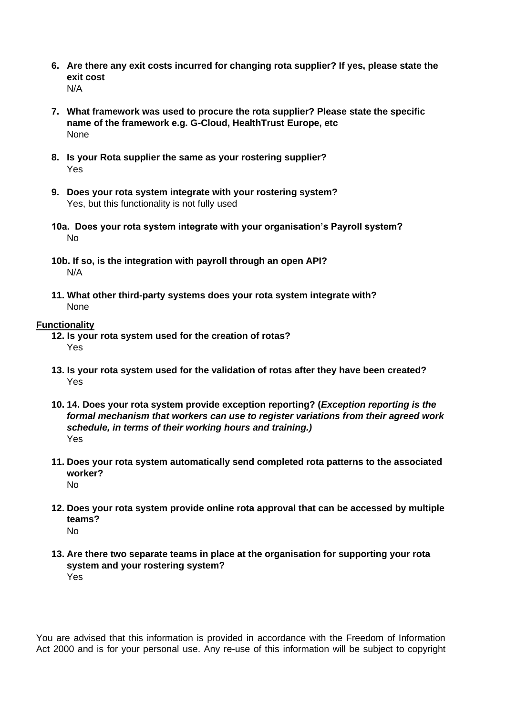- **6. Are there any exit costs incurred for changing rota supplier? If yes, please state the exit cost** N/A
- **7. What framework was used to procure the rota supplier? Please state the specific name of the framework e.g. G-Cloud, HealthTrust Europe, etc**  None
- **8. Is your Rota supplier the same as your rostering supplier?** Yes
- **9. Does your rota system integrate with your rostering system?** Yes, but this functionality is not fully used
- **10a. Does your rota system integrate with your organisation's Payroll system?** No
- **10b. If so, is the integration with payroll through an open API?** N/A
- **11. What other third-party systems does your rota system integrate with?** None

## **Functionality**

- **12. Is your rota system used for the creation of rotas?**  Yes
- **13. Is your rota system used for the validation of rotas after they have been created?** Yes
- **10. 14. Does your rota system provide exception reporting? (***Exception reporting is the formal mechanism that workers can use to register variations from their agreed work schedule, in terms of their working hours and training.)* Yes
- **11. Does your rota system automatically send completed rota patterns to the associated worker?**  No
- **12. Does your rota system provide online rota approval that can be accessed by multiple teams?** No
- **13. Are there two separate teams in place at the organisation for supporting your rota system and your rostering system?**  Yes

You are advised that this information is provided in accordance with the Freedom of Information Act 2000 and is for your personal use. Any re-use of this information will be subject to copyright